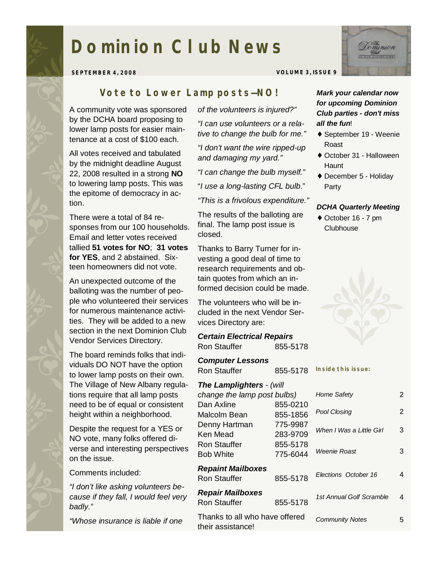# **Dominion Club News**

**SEPTEMBER 4, 2008 VOLUME 3, ISSUE 9** 

## *Vote to Lower Lamp posts—NO!*

A community vote was sponsored by the DCHA board proposing to lower lamp posts for easier maintenance at a cost of \$100 each.

All votes received and tabulated by the midnight deadline August 22, 2008 resulted in a strong **NO** to lowering lamp posts. This was the epitome of democracy in action.

There were a total of 84 responses from our 100 households. Email and letter votes received tallied **51 votes for NO**; **31 votes for YES**, and 2 abstained. Sixteen homeowners did not vote.

An unexpected outcome of the balloting was the number of people who volunteered their services for numerous maintenance activities. They will be added to a new section in the next Dominion Club Vendor Services Directory.

The board reminds folks that individuals DO NOT have the option to lower lamp posts on their own. The Village of New Albany regulations require that all lamp posts need to be of equal or consistent height within a neighborhood.

Despite the request for a YES or NO vote, many folks offered diverse and interesting perspectives on the issue.

#### Comments included:

*"I don't like asking volunteers because if they fall, I would feel very badly."* 

*"Whose insurance is liable if one* 

*of the volunteers is injured?"* 

*"I can use volunteers or a relative to change the bulb for me."*

*"I don't want the wire ripped-up and damaging my yard."* 

*"I can change the bulb myself."* 

"*I use a long-lasting CFL bulb*."

## *"This is a frivolous expenditure."*

The results of the balloting are final. The lamp post issue is closed.

Thanks to Barry Turner for investing a good deal of time to research requirements and obtain quotes from which an informed decision could be made.

The volunteers who will be included in the next Vendor Services Directory are:

## *Certain Electrical Repairs*  Ron Stauffer 855-5178

*Computer Lessons*  Ron Stauffer 855-5178

## *The Lamplighters - (will*

| change the lamp post bulbs)                         |                      | Home Safety              | $\overline{2}$ |
|-----------------------------------------------------|----------------------|--------------------------|----------------|
| Dan Axline                                          | 855-0210             | <b>Pool Closing</b>      | $\overline{2}$ |
| Malcolm Bean<br>Denny Hartman                       | 855-1856<br>775-9987 | When I Was a Little Girl | 3              |
| Ken Mead                                            | 283-9709             |                          |                |
| Ron Stauffer                                        | 855-5178             | Weenie Roast             | 3              |
| <b>Bob White</b>                                    | 775-6044             |                          |                |
| <b>Repaint Mailboxes</b><br>Ron Stauffer            | 855-5178             | Elections October 16     | 4              |
| <b>Repair Mailboxes</b><br><b>Ron Stauffer</b>      | 855-5178             | 1st Annual Golf Scramble | 4              |
| Thanks to all who have offered<br>their assistance! |                      | <b>Community Notes</b>   | 5.             |



- ♦ September 19 Weenie Roast
- ♦ October 31 Halloween **Haunt**
- ♦ December 5 Holiday Party

#### *DCHA Quarterly Meeting*

♦ October 16 - 7 pm **Clubhouse** 



**Inside this issue:**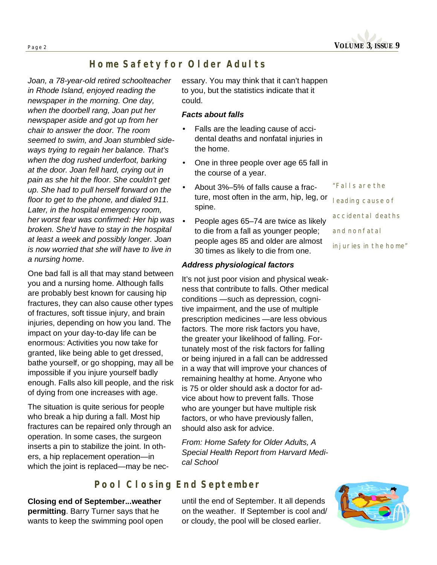

## *Home Safety for Older Adults*

*Joan, a 78-year-old retired schoolteacher in Rhode Island, enjoyed reading the newspaper in the morning. One day, when the doorbell rang, Joan put her newspaper aside and got up from her chair to answer the door. The room seemed to swim, and Joan stumbled sideways trying to regain her balance. That's when the dog rushed underfoot, barking at the door. Joan fell hard, crying out in pain as she hit the floor. She couldn't get up. She had to pull herself forward on the floor to get to the phone, and dialed 911. Later, in the hospital emergency room, her worst fear was confirmed: Her hip was broken. She'd have to stay in the hospital at least a week and possibly longer. Joan is now worried that she will have to live in a nursing home*.

One bad fall is all that may stand between you and a nursing home. Although falls are probably best known for causing hip fractures, they can also cause other types of fractures, soft tissue injury, and brain injuries, depending on how you land. The impact on your day-to-day life can be enormous: Activities you now take for granted, like being able to get dressed, bathe yourself, or go shopping, may all be impossible if you injure yourself badly enough. Falls also kill people, and the risk of dying from one increases with age.

The situation is quite serious for people who break a hip during a fall. Most hip fractures can be repaired only through an operation. In some cases, the surgeon inserts a pin to stabilize the joint. In others, a hip replacement operation—in which the joint is replaced—may be nec-

essary. You may think that it can't happen to you, but the statistics indicate that it could.

## *Facts about falls*

- Falls are the leading cause of accidental deaths and nonfatal injuries in the home.
- One in three people over age 65 fall in the course of a year.
- About 3%–5% of falls cause a fracture, most often in the arm, hip, leg, or spine.
- People ages 65–74 are twice as likely to die from a fall as younger people; people ages 85 and older are almost 30 times as likely to die from one.

#### *Address physiological factors*

It's not just poor vision and physical weakness that contribute to falls. Other medical conditions —such as depression, cognitive impairment, and the use of multiple prescription medicines —are less obvious factors. The more risk factors you have, the greater your likelihood of falling. Fortunately most of the risk factors for falling or being injured in a fall can be addressed in a way that will improve your chances of remaining healthy at home. Anyone who is 75 or older should ask a doctor for advice about how to prevent falls. Those who are younger but have multiple risk factors, or who have previously fallen, should also ask for advice.

*From: Home Safety for Older Adults, A Special Health Report from Harvard Medical School* 

## *Pool Closing End September*

**Closing end of September...weather permitting**. Barry Turner says that he wants to keep the swimming pool open

until the end of September. It all depends on the weather. If September is cool and/ or cloudy, the pool will be closed earlier.



*"Falls are the leading cause of accidental deaths and nonfatal injuries in the home"*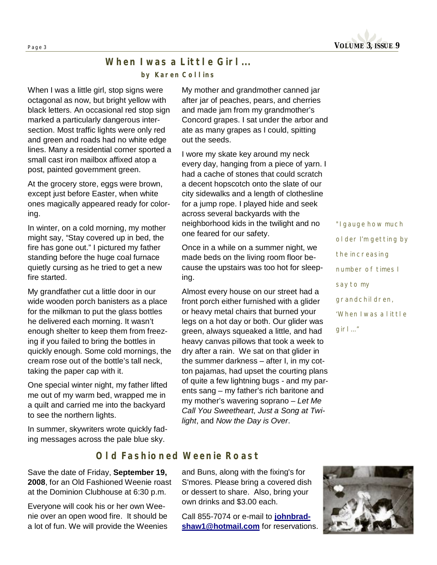**Page <sup>3</sup>VOLUME 3, ISSUE 9** 

## *When I was a Little Girl... by Karen Collins*

When I was a little girl, stop signs were octagonal as now, but bright yellow with black letters. An occasional red stop sign marked a particularly dangerous intersection. Most traffic lights were only red and green and roads had no white edge lines. Many a residential corner sported a small cast iron mailbox affixed atop a post, painted government green.

At the grocery store, eggs were brown, except just before Easter, when white ones magically appeared ready for coloring.

In winter, on a cold morning, my mother might say, "Stay covered up in bed, the fire has gone out." I pictured my father standing before the huge coal furnace quietly cursing as he tried to get a new fire started.

My grandfather cut a little door in our wide wooden porch banisters as a place for the milkman to put the glass bottles he delivered each morning. It wasn't enough shelter to keep them from freezing if you failed to bring the bottles in quickly enough. Some cold mornings, the cream rose out of the bottle's tall neck, taking the paper cap with it.

One special winter night, my father lifted me out of my warm bed, wrapped me in a quilt and carried me into the backyard to see the northern lights.

In summer, skywriters wrote quickly fading messages across the pale blue sky.

My mother and grandmother canned jar after jar of peaches, pears, and cherries and made jam from my grandmother's Concord grapes. I sat under the arbor and ate as many grapes as I could, spitting out the seeds.

I wore my skate key around my neck every day, hanging from a piece of yarn. I had a cache of stones that could scratch a decent hopscotch onto the slate of our city sidewalks and a length of clothesline for a jump rope. I played hide and seek across several backyards with the neighborhood kids in the twilight and no one feared for our safety.

Once in a while on a summer night, we made beds on the living room floor because the upstairs was too hot for sleeping.

Almost every house on our street had a front porch either furnished with a glider or heavy metal chairs that burned your legs on a hot day or both. Our glider was green, always squeaked a little, and had heavy canvas pillows that took a week to dry after a rain. We sat on that glider in the summer darkness – after I, in my cotton pajamas, had upset the courting plans of quite a few lightning bugs - and my parents sang – my father's rich baritone and my mother's wavering soprano – *Let Me Call You Sweetheart*, *Just a Song at Twilight*, and *Now the Day is Over*.

*"I gauge how much older I'm getting by the increasing number of times I say to my grandchildren, 'When I was a little girl…"* 

## *Old Fashioned Weenie Roast*

Save the date of Friday, **September 19, 2008**, for an Old Fashioned Weenie roast at the Dominion Clubhouse at 6:30 p.m.

Everyone will cook his or her own Weenie over an open wood fire. It should be a lot of fun. We will provide the Weenies

and Buns, along with the fixing's for S'mores. Please bring a covered dish or dessert to share. Also, bring your own drinks and \$3.00 each.

Call 855-7074 or e-mail to **johnbrad[shaw1@hotmail.com](mailto:shaw1@hotmail.com)** for reservations.

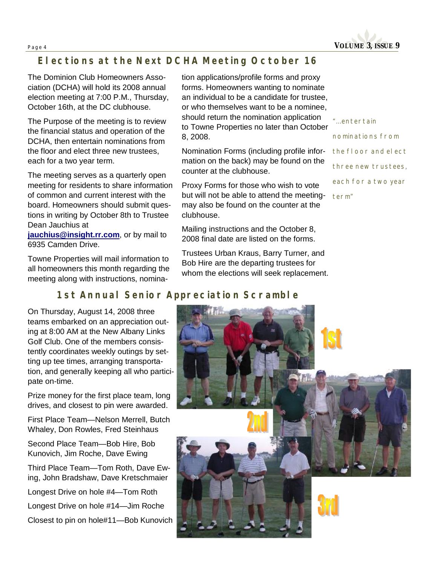

# *Elections at the Next DCHA Meeting October 16*

The Dominion Club Homeowners Association (DCHA) will hold its 2008 annual election meeting at 7:00 P.M., Thursday, October 16th, at the DC clubhouse.

The Purpose of the meeting is to review the financial status and operation of the DCHA, then entertain nominations from the floor and elect three new trustees, each for a two year term.

The meeting serves as a quarterly open meeting for residents to share information of common and current interest with the board. Homeowners should submit questions in writing by October 8th to Trustee Dean Jauchius at

**[jauchius@insight.rr.com](mailto:jauchius@insight.rr.com)**, or by mail to 6935 Camden Drive.

Towne Properties will mail information to all homeowners this month regarding the meeting along with instructions, nomination applications/profile forms and proxy forms. Homeowners wanting to nominate an individual to be a candidate for trustee, or who themselves want to be a nominee, should return the nomination application to Towne Properties no later than October 8, 2008.

Nomination Forms (including profile information on the back) may be found on the counter at the clubhouse.

Proxy Forms for those who wish to vote but will not be able to attend the meetingmay also be found on the counter at the clubhouse.

Mailing instructions and the October 8, 2008 final date are listed on the forms.

Trustees Urban Kraus, Barry Turner, and Bob Hire are the departing trustees for whom the elections will seek replacement.

*"...entertain* 

*nominations from the floor and elect three new trustees, each for a two year term"* 

# *1st Annual Senior Appreciation Scramble*

On Thursday, August 14, 2008 three teams embarked on an appreciation outing at 8:00 AM at the New Albany Links Golf Club. One of the members consistently coordinates weekly outings by setting up tee times, arranging transportation, and generally keeping all who participate on-time.

Prize money for the first place team, long drives, and closest to pin were awarded.

First Place Team—Nelson Merrell, Butch Whaley, Don Rowles, Fred Steinhaus

Second Place Team—Bob Hire, Bob Kunovich, Jim Roche, Dave Ewing

Third Place Team—Tom Roth, Dave Ewing, John Bradshaw, Dave Kretschmaier

Longest Drive on hole #4—Tom Roth

Longest Drive on hole #14—Jim Roche

Closest to pin on hole#11—Bob Kunovich